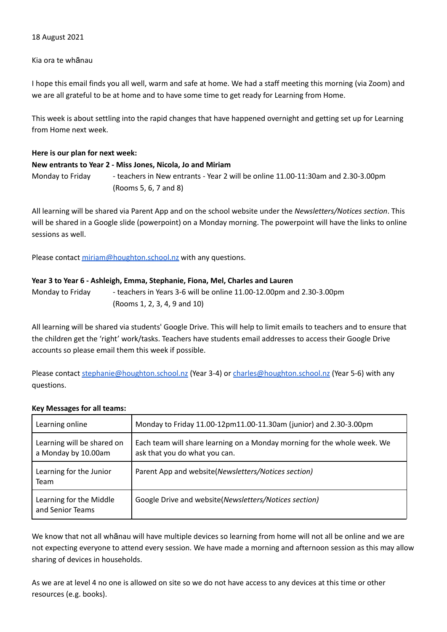## 18 August 2021

## Kia ora te whānau

I hope this email finds you all well, warm and safe at home. We had a staff meeting this morning (via Zoom) and we are all grateful to be at home and to have some time to get ready for Learning from Home.

This week is about settling into the rapid changes that have happened overnight and getting set up for Learning from Home next week.

#### **Here is our plan for next week:**

#### **New entrants to Year 2 - Miss Jones, Nicola, Jo and Miriam**

Monday to Friday - teachers in New entrants - Year 2 will be online 11.00-11:30am and 2.30-3.00pm (Rooms 5, 6, 7 and 8)

All learning will be shared via Parent App and on the school website under the *Newsletters/Notices section*. This will be shared in a Google slide (powerpoint) on a Monday morning. The powerpoint will have the links to online sessions as well.

Please contact [miriam@houghton.school.nz](mailto:miriam@houghton.school.nz) with any questions.

#### **Year 3 to Year 6 - Ashleigh, Emma, Stephanie, Fiona, Mel, Charles and Lauren**

Monday to Friday - teachers in Years 3-6 will be online 11.00-12.00pm and 2.30-3.00pm (Rooms 1, 2, 3, 4, 9 and 10)

All learning will be shared via students' Google Drive. This will help to limit emails to teachers and to ensure that the children get the 'right' work/tasks. Teachers have students email addresses to access their Google Drive accounts so please email them this week if possible.

Please contact [stephanie@houghton.school.nz](mailto:stephanie@houghton.school.nz) (Year 3-4) or [charles@houghton.school.nz](mailto:charles@houghton.school.nz) (Year 5-6) with any questions.

## **Key Messages for all teams:**

| Learning online                                   | Monday to Friday 11.00-12pm11.00-11.30am (junior) and 2.30-3.00pm                                         |
|---------------------------------------------------|-----------------------------------------------------------------------------------------------------------|
| Learning will be shared on<br>a Monday by 10.00am | Each team will share learning on a Monday morning for the whole week. We<br>ask that you do what you can. |
| Learning for the Junior<br>Team                   | Parent App and website(Newsletters/Notices section)                                                       |
| Learning for the Middle<br>and Senior Teams       | Google Drive and website(Newsletters/Notices section)                                                     |

We know that not all whānau will have multiple devices so learning from home will not all be online and we are not expecting everyone to attend every session. We have made a morning and afternoon session as this may allow sharing of devices in households.

As we are at level 4 no one is allowed on site so we do not have access to any devices at this time or other resources (e.g. books).